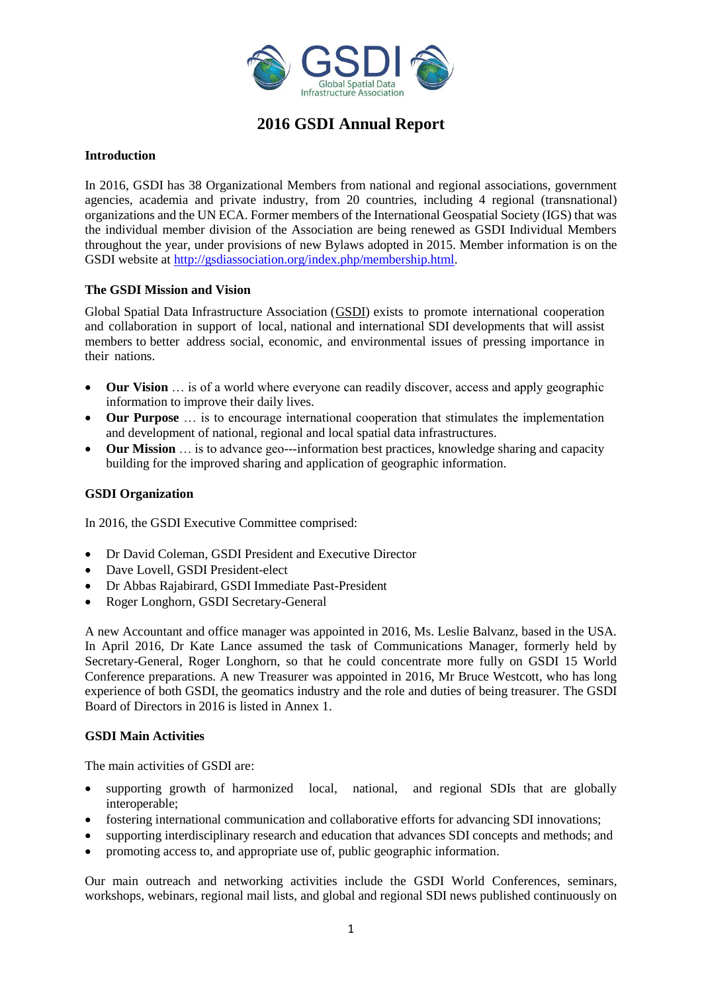

## **2016 GSDI Annual Report**

## **Introduction**

In 2016, GSDI has 38 Organizational Members from national and regional associations, government agencies, academia and private industry, from 20 countries, including 4 regional (transnational) organizations and the UN ECA. Former members of the International Geospatial Society (IGS) that was the individual member division of the Association are being renewed as GSDI Individual Members throughout the year, under provisions of new Bylaws adopted in 2015. Member information is on the GSDI website at [http://gsdiassociation.org/index.php/membership.html.](http://gsdiassociation.org/index.php/membership.html)

## **The GSDI Mission and Vision**

Global Spatial Data Infrastructure Association [\(GSDI\)](http://gsdiassociation.org/) exists to promote international cooperation and collaboration in support of local, national and international SDI developments that will assist members to better address social, economic, and environmental issues of pressing importance in their nations.

- **Our Vision** … is of a world where everyone can readily discover, access and apply geographic information to improve their daily lives.
- **Our Purpose** … is to encourage international cooperation that stimulates the implementation and development of national, regional and local spatial data infrastructures.
- **● Our Mission** ... is to advance geo---information best practices, knowledge sharing and capacity building for the improved sharing and application of geographic information.

## **GSDI Organization**

In 2016, the GSDI Executive Committee comprised:

- Dr David Coleman, GSDI President and Executive Director
- Dave Lovell, GSDI President-elect
- Dr Abbas Rajabirard, GSDI Immediate Past-President
- Roger Longhorn, GSDI Secretary-General

A new Accountant and office manager was appointed in 2016, Ms. Leslie Balvanz, based in the USA. In April 2016, Dr Kate Lance assumed the task of Communications Manager, formerly held by Secretary-General, Roger Longhorn, so that he could concentrate more fully on GSDI 15 World Conference preparations. A new Treasurer was appointed in 2016, Mr Bruce Westcott, who has long experience of both GSDI, the geomatics industry and the role and duties of being treasurer. The GSDI Board of Directors in 2016 is listed in Annex 1.

## **GSDI Main Activities**

The main activities of GSDI are:

- supporting growth of harmonized local, national, and regional SDIs that are globally interoperable;
- fostering international communication and collaborative efforts for advancing SDI innovations;
- supporting interdisciplinary research and education that advances SDI concepts and methods; and
- promoting access to, and appropriate use of, public geographic information.

Our main outreach and networking activities include the GSDI World Conferences, seminars, workshops, webinars, regional mail lists, and global and regional SDI news published continuously on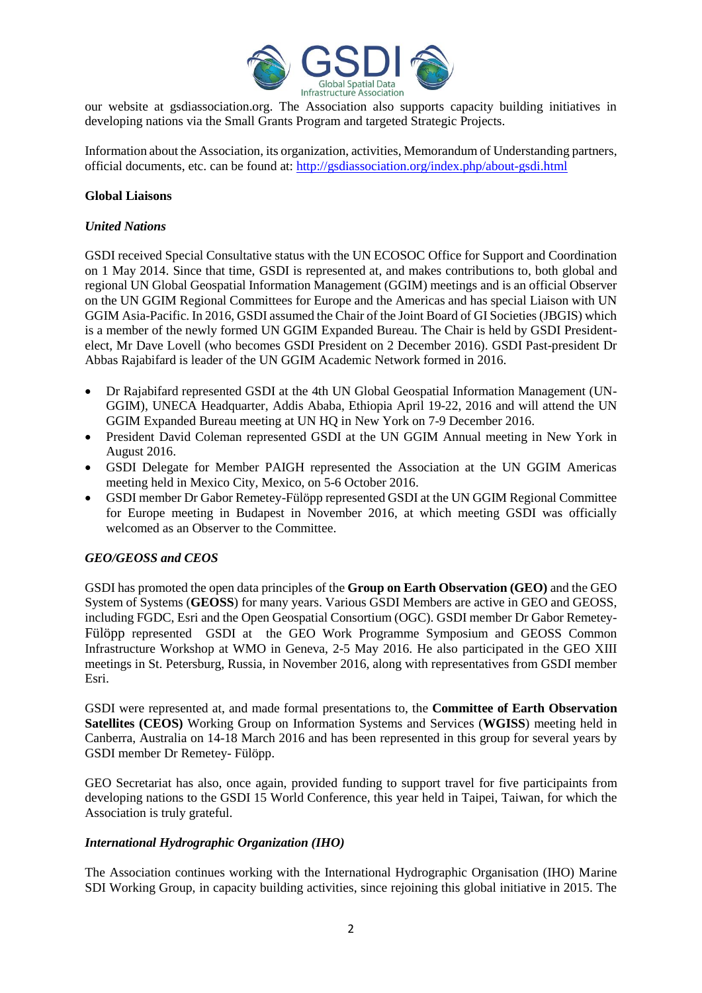

our website at gsdiassociation.org. The Association also supports capacity building initiatives in developing nations via the Small Grants Program and targeted Strategic Projects.

Information about the Association, its organization, activities, Memorandum of Understanding partners, official documents, etc. can be found at:<http://gsdiassociation.org/index.php/about-gsdi.html>

## **Global Liaisons**

## *United Nations*

GSDI received Special Consultative status with the UN ECOSOC Office for Support and Coordination on 1 May 2014. Since that time, GSDI is represented at, and makes contributions to, both global and regional UN Global Geospatial Information Management (GGIM) meetings and is an official Observer on the UN GGIM Regional Committees for Europe and the Americas and has special Liaison with UN GGIM Asia-Pacific. In 2016, GSDI assumed the Chair of the Joint Board of GI Societies (JBGIS) which is a member of the newly formed UN GGIM Expanded Bureau. The Chair is held by GSDI Presidentelect, Mr Dave Lovell (who becomes GSDI President on 2 December 2016). GSDI Past-president Dr Abbas Rajabifard is leader of the UN GGIM Academic Network formed in 2016.

- Dr Rajabifard represented GSDI at the 4th UN Global Geospatial Information Management (UN-GGIM), UNECA Headquarter, Addis Ababa, Ethiopia April 19-22, 2016 and will attend the UN GGIM Expanded Bureau meeting at UN HQ in New York on 7-9 December 2016.
- President David Coleman represented GSDI at the UN GGIM Annual meeting in New York in August 2016.
- GSDI Delegate for Member PAIGH represented the Association at the UN GGIM Americas meeting held in Mexico City, Mexico, on 5-6 October 2016.
- GSDI member Dr Gabor Remetey-Fülöpp represented GSDI at the UN GGIM Regional Committee for Europe meeting in Budapest in November 2016, at which meeting GSDI was officially welcomed as an Observer to the Committee.

## *GEO/GEOSS and CEOS*

GSDI has promoted the open data principles of the **Group on Earth Observation (GEO)** and the GEO System of Systems (**GEOSS**) for many years. Various GSDI Members are active in GEO and GEOSS, including FGDC, Esri and the Open Geospatial Consortium (OGC). GSDI member Dr Gabor Remetey-Fülöpp represented GSDI at the GEO Work Programme Symposium and GEOSS Common Infrastructure Workshop at WMO in Geneva, 2-5 May 2016. He also participated in the GEO XIII meetings in St. Petersburg, Russia, in November 2016, along with representatives from GSDI member Esri.

GSDI were represented at, and made formal presentations to, the **Committee of Earth Observation Satellites (CEOS)** Working Group on Information Systems and Services (**WGISS**) meeting held in Canberra, Australia on 14-18 March 2016 and has been represented in this group for several years by GSDI member Dr Remetey- Fülöpp.

GEO Secretariat has also, once again, provided funding to support travel for five participaints from developing nations to the GSDI 15 World Conference, this year held in Taipei, Taiwan, for which the Association is truly grateful.

## *International Hydrographic Organization (IHO)*

The Association continues working with the International Hydrographic Organisation (IHO) Marine SDI Working Group, in capacity building activities, since rejoining this global initiative in 2015. The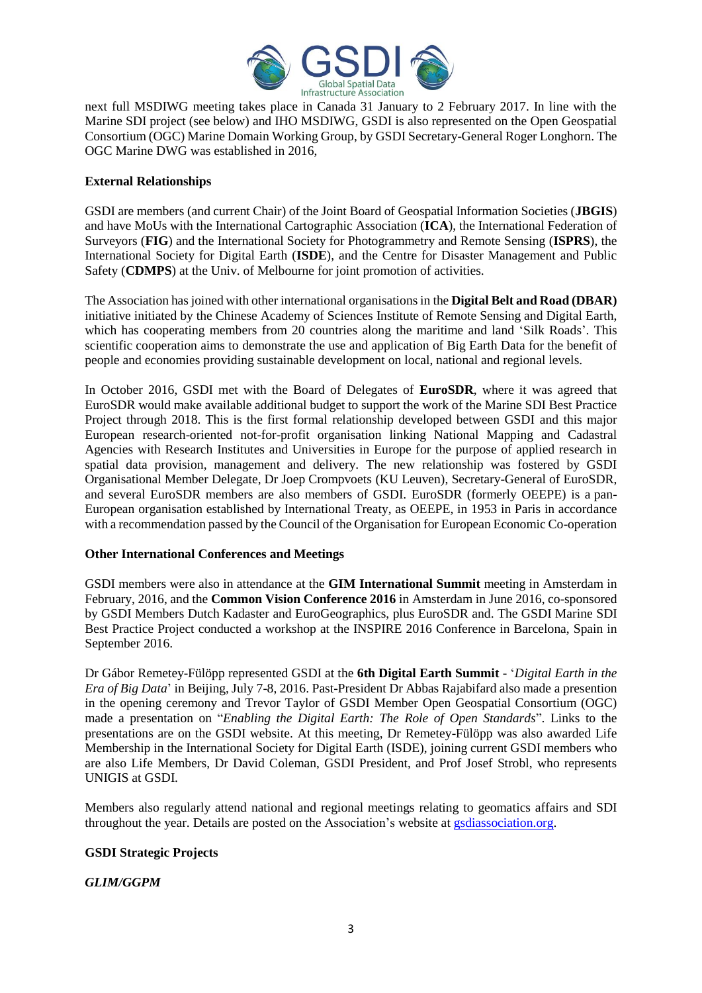

next full MSDIWG meeting takes place in Canada 31 January to 2 February 2017. In line with the Marine SDI project (see below) and IHO MSDIWG, GSDI is also represented on the Open Geospatial Consortium (OGC) Marine Domain Working Group, by GSDI Secretary-General Roger Longhorn. The OGC Marine DWG was established in 2016,

## **External Relationships**

GSDI are members (and current Chair) of the Joint Board of Geospatial Information Societies (**JBGIS**) and have MoUs with the International Cartographic Association (**ICA**), the International Federation of Surveyors (**FIG**) and the International Society for Photogrammetry and Remote Sensing (**ISPRS**), the International Society for Digital Earth (**ISDE**), and the Centre for Disaster Management and Public Safety (**CDMPS**) at the Univ. of Melbourne for joint promotion of activities.

The Association has joined with other international organisations in the **Digital Belt and Road (DBAR)** initiative initiated by the Chinese Academy of Sciences Institute of Remote Sensing and Digital Earth, which has cooperating members from 20 countries along the maritime and land 'Silk Roads'. This scientific cooperation aims to demonstrate the use and application of Big Earth Data for the benefit of people and economies providing sustainable development on local, national and regional levels.

In October 2016, GSDI met with the Board of Delegates of **EuroSDR**, where it was agreed that EuroSDR would make available additional budget to support the work of the Marine SDI Best Practice Project through 2018. This is the first formal relationship developed between GSDI and this major European research-oriented not-for-profit organisation linking National Mapping and Cadastral Agencies with Research Institutes and Universities in Europe for the purpose of applied research in spatial data provision, management and delivery. The new relationship was fostered by GSDI Organisational Member Delegate, Dr Joep Crompvoets (KU Leuven), Secretary-General of EuroSDR, and several EuroSDR members are also members of GSDI. EuroSDR (formerly OEEPE) is a pan-European organisation established by International Treaty, as OEEPE, in 1953 in Paris in accordance with a recommendation passed by the Council of the Organisation for European Economic Co-operation

## **Other International Conferences and Meetings**

GSDI members were also in attendance at the **GIM International Summit** meeting in Amsterdam in February, 2016, and the **Common Vision Conference 2016** in Amsterdam in June 2016, co-sponsored by GSDI Members Dutch Kadaster and EuroGeographics, plus EuroSDR and. The GSDI Marine SDI Best Practice Project conducted a workshop at the INSPIRE 2016 Conference in Barcelona, Spain in September 2016.

Dr Gábor Remetey-Fülöpp represented GSDI at the **6th Digital Earth Summit** - '*Digital Earth in the Era of Big Data*' in Beijing, July 7-8, 2016. Past-President Dr Abbas Rajabifard also made a presention in the opening ceremony and Trevor Taylor of GSDI Member Open Geospatial Consortium (OGC) made a presentation on "*Enabling the Digital Earth: The Role of Open Standards*". Links to the presentations are on the GSDI website. At this meeting, Dr Remetey-Fülöpp was also awarded Life Membership in the International Society for Digital Earth (ISDE), joining current GSDI members who are also Life Members, Dr David Coleman, GSDI President, and Prof Josef Strobl, who represents UNIGIS at GSDI.

Members also regularly attend national and regional meetings relating to geomatics affairs and SDI throughout the year. Details are posted on the Association's website at [gsdiassociation.org.](http://gsdiassociation.org/)

## **GSDI Strategic Projects**

## *GLIM/GGPM*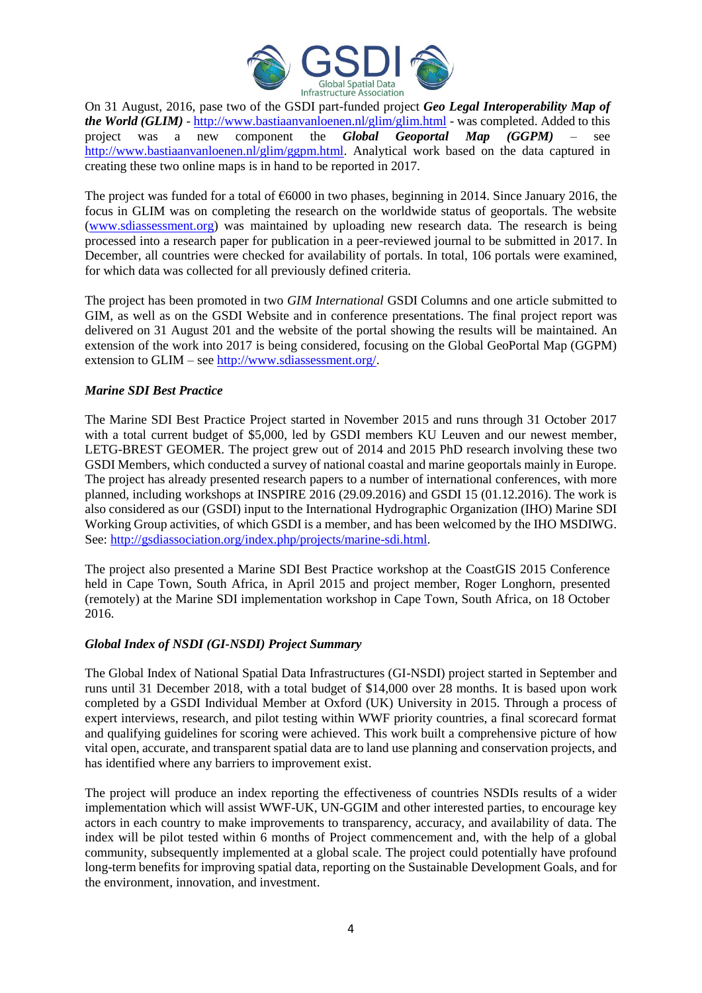

On 31 August, 2016, pase two of the GSDI part-funded project *Geo Legal Interoperability Map of the World (GLIM)* - <http://www.bastiaanvanloenen.nl/glim/glim.html> - was completed. Added to this project was a new component the *Global Geoportal Map (GGPM)* – see [http://www.bastiaanvanloenen.nl/glim/ggpm.html.](http://www.bastiaanvanloenen.nl/glim/ggpm.html) Analytical work based on the data captured in creating these two online maps is in hand to be reported in 2017.

The project was funded for a total of  $66000$  in two phases, beginning in 2014. Since January 2016, the focus in GLIM was on completing the research on the worldwide status of geoportals. The website [\(www.sdiassessment.org\)](http://www.sdiassessment.org/) was maintained by uploading new research data. The research is being processed into a research paper for publication in a peer-reviewed journal to be submitted in 2017. In December, all countries were checked for availability of portals. In total, 106 portals were examined, for which data was collected for all previously defined criteria.

The project has been promoted in two *GIM International* GSDI Columns and one article submitted to GIM, as well as on the GSDI Website and in conference presentations. The final project report was delivered on 31 August 201 and the website of the portal showing the results will be maintained. An extension of the work into 2017 is being considered, focusing on the Global GeoPortal Map (GGPM) extension to GLIM – see [http://www.sdiassessment.org/.](http://www.sdiassessment.org/)

## *Marine SDI Best Practice*

The Marine SDI Best Practice Project started in November 2015 and runs through 31 October 2017 with a total current budget of \$5,000, led by GSDI members KU Leuven and our newest member, LETG-BREST GEOMER. The project grew out of 2014 and 2015 PhD research involving these two GSDI Members, which conducted a survey of national coastal and marine geoportals mainly in Europe. The project has already presented research papers to a number of international conferences, with more planned, including workshops at INSPIRE 2016 (29.09.2016) and GSDI 15 (01.12.2016). The work is also considered as our (GSDI) input to the International Hydrographic Organization (IHO) Marine SDI Working Group activities, of which GSDI is a member, and has been welcomed by the IHO MSDIWG. See[: http://gsdiassociation.org/index.php/projects/marine-sdi.html.](http://gsdiassociation.org/index.php/projects/marine-sdi.html)

The project also presented a Marine SDI Best Practice workshop at the CoastGIS 2015 Conference held in Cape Town, South Africa, in April 2015 and project member, Roger Longhorn, presented (remotely) at the Marine SDI implementation workshop in Cape Town, South Africa, on 18 October 2016.

## *Global Index of NSDI (GI-NSDI) Project Summary*

The Global Index of National Spatial Data Infrastructures (GI-NSDI) project started in September and runs until 31 December 2018, with a total budget of \$14,000 over 28 months. It is based upon work completed by a GSDI Individual Member at Oxford (UK) University in 2015. Through a process of expert interviews, research, and pilot testing within WWF priority countries, a final scorecard format and qualifying guidelines for scoring were achieved. This work built a comprehensive picture of how vital open, accurate, and transparent spatial data are to land use planning and conservation projects, and has identified where any barriers to improvement exist.

The project will produce an index reporting the effectiveness of countries NSDIs results of a wider implementation which will assist WWF-UK, UN-GGIM and other interested parties, to encourage key actors in each country to make improvements to transparency, accuracy, and availability of data. The index will be pilot tested within 6 months of Project commencement and, with the help of a global community, subsequently implemented at a global scale. The project could potentially have profound long-term benefits for improving spatial data, reporting on the Sustainable Development Goals, and for the environment, innovation, and investment.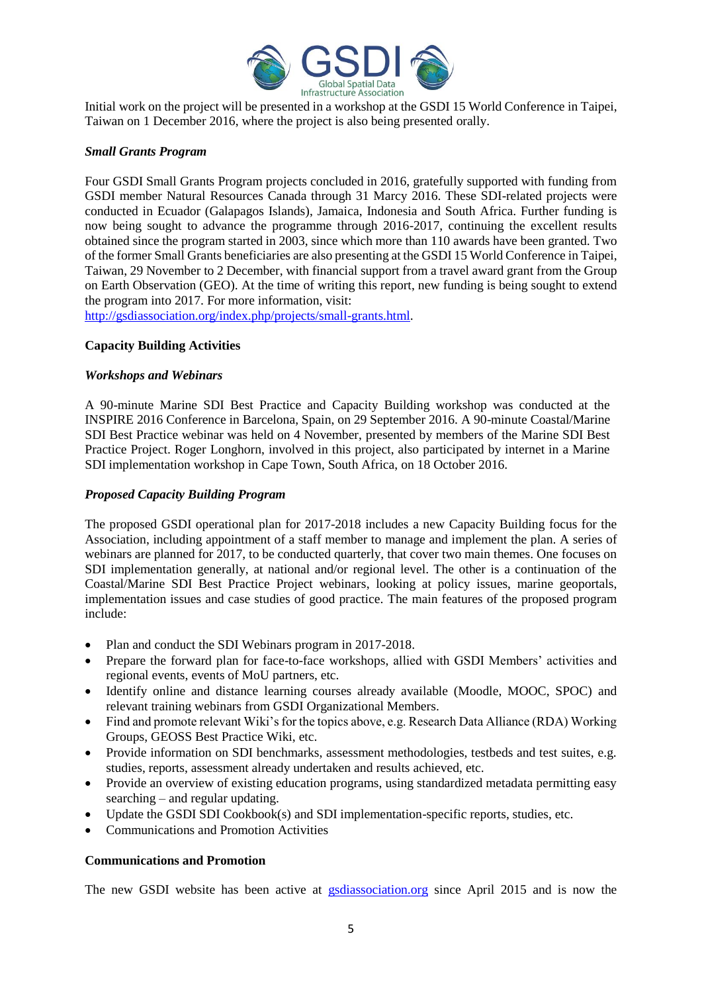

Initial work on the project will be presented in a workshop at the GSDI 15 World Conference in Taipei, Taiwan on 1 December 2016, where the project is also being presented orally.

## *Small Grants Program*

Four GSDI Small Grants Program projects concluded in 2016, gratefully supported with funding from GSDI member Natural Resources Canada through 31 Marcy 2016. These SDI-related projects were conducted in Ecuador (Galapagos Islands), Jamaica, Indonesia and South Africa. Further funding is now being sought to advance the programme through 2016-2017, continuing the excellent results obtained since the program started in 2003, since which more than 110 awards have been granted. Two of the former Small Grants beneficiaries are also presenting at the GSDI 15 World Conference in Taipei, Taiwan, 29 November to 2 December, with financial support from a travel award grant from the Group on Earth Observation (GEO). At the time of writing this report, new funding is being sought to extend the program into 2017. For more information, visit:

[http://gsdiassociation.org/index.php/projects/small-grants.html.](http://gsdiassociation.org/index.php/projects/small-grants.html)

## **Capacity Building Activities**

## *Workshops and Webinars*

A 90-minute Marine SDI Best Practice and Capacity Building workshop was conducted at the INSPIRE 2016 Conference in Barcelona, Spain, on 29 September 2016. A 90-minute Coastal/Marine SDI Best Practice webinar was held on 4 November, presented by members of the Marine SDI Best Practice Project. Roger Longhorn, involved in this project, also participated by internet in a Marine SDI implementation workshop in Cape Town, South Africa, on 18 October 2016.

## *Proposed Capacity Building Program*

The proposed GSDI operational plan for 2017-2018 includes a new Capacity Building focus for the Association, including appointment of a staff member to manage and implement the plan. A series of webinars are planned for 2017, to be conducted quarterly, that cover two main themes. One focuses on SDI implementation generally, at national and/or regional level. The other is a continuation of the Coastal/Marine SDI Best Practice Project webinars, looking at policy issues, marine geoportals, implementation issues and case studies of good practice. The main features of the proposed program include:

- Plan and conduct the SDI Webinars program in 2017-2018.
- Prepare the forward plan for face-to-face workshops, allied with GSDI Members' activities and regional events, events of MoU partners, etc.
- Identify online and distance learning courses already available (Moodle, MOOC, SPOC) and relevant training webinars from GSDI Organizational Members.
- Find and promote relevant Wiki's for the topics above, e.g. Research Data Alliance (RDA) Working Groups, GEOSS Best Practice Wiki, etc.
- Provide information on SDI benchmarks, assessment methodologies, testbeds and test suites, e.g. studies, reports, assessment already undertaken and results achieved, etc.
- Provide an overview of existing education programs, using standardized metadata permitting easy searching – and regular updating.
- Update the GSDI SDI Cookbook(s) and SDI implementation-specific reports, studies, etc.
- Communications and Promotion Activities

## **Communications and Promotion**

The new GSDI website has been active at [gsdiassociation.org](http://gsdiassociation.org/) since April 2015 and is now the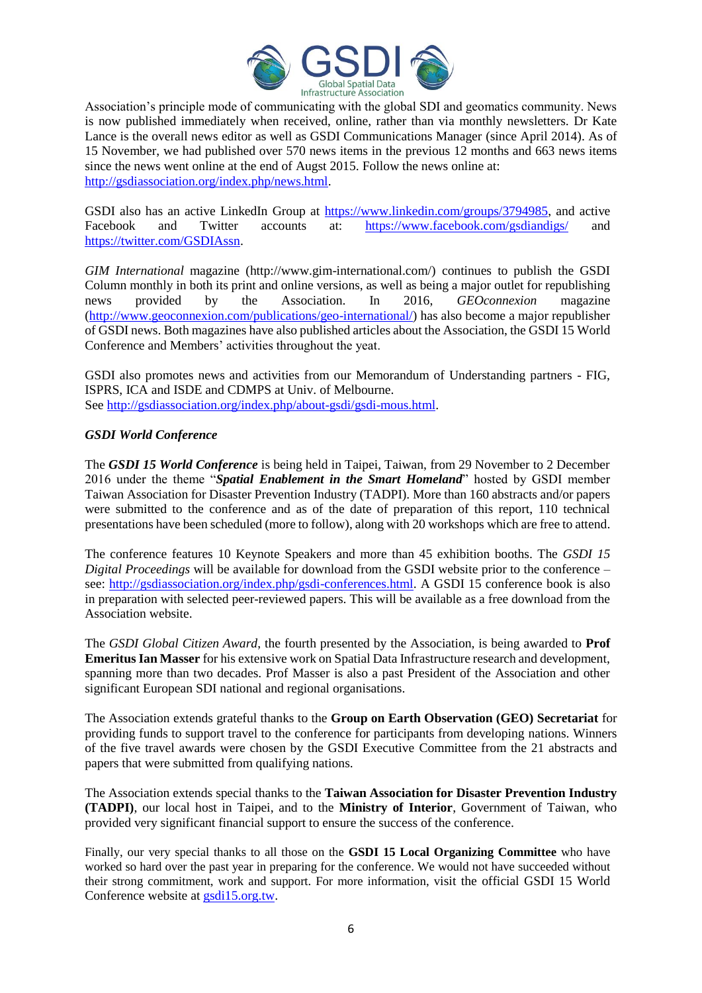

Association's principle mode of communicating with the global SDI and geomatics community. News is now published immediately when received, online, rather than via monthly newsletters. Dr Kate Lance is the overall news editor as well as GSDI Communications Manager (since April 2014). As of 15 November, we had published over 570 news items in the previous 12 months and 663 news items since the news went online at the end of Augst 2015. Follow the news online at: [http://gsdiassociation.org/index.php/news.html.](http://gsdiassociation.org/index.php/news.html)

GSDI also has an active LinkedIn Group at [https://www.linkedin.com/groups/3794985,](https://www.linkedin.com/groups/3794985) and active Facebook and Twitter accounts at: <https://www.facebook.com/gsdiandigs/> and [https://twitter.com/GSDIAssn.](https://twitter.com/GSDIAssn)

*GIM International* magazine (http://www.gim-international.com/) continues to publish the GSDI Column monthly in both its print and online versions, as well as being a major outlet for republishing news provided by the Association. In 2016, *GEOconnexion* magazine [\(http://www.geoconnexion.com/publications/geo-international/\)](http://www.geoconnexion.com/publications/geo-international/) has also become a major republisher of GSDI news. Both magazines have also published articles about the Association, the GSDI 15 World Conference and Members' activities throughout the yeat.

GSDI also promotes news and activities from our Memorandum of Understanding partners - FIG, ISPRS, ICA and ISDE and CDMPS at Univ. of Melbourne. See [http://gsdiassociation.org/index.php/about-gsdi/gsdi-mous.html.](http://gsdiassociation.org/index.php/about-gsdi/gsdi-mous.html)

## *GSDI World Conference*

The *GSDI 15 World Conference* is being held in Taipei, Taiwan, from 29 November to 2 December 2016 under the theme "*Spatial Enablement in the Smart Homeland*" hosted by GSDI member Taiwan Association for Disaster Prevention Industry (TADPI). More than 160 abstracts and/or papers were submitted to the conference and as of the date of preparation of this report, 110 technical presentations have been scheduled (more to follow), along with 20 workshops which are free to attend.

The conference features 10 Keynote Speakers and more than 45 exhibition booths. The *GSDI 15 Digital Proceedings* will be available for download from the GSDI website prior to the conference – see: [http://gsdiassociation.org/index.php/gsdi-conferences.html.](http://gsdiassociation.org/index.php/gsdi-conferences.html) A GSDI 15 conference book is also in preparation with selected peer-reviewed papers. This will be available as a free download from the Association website.

The *GSDI Global Citizen Award*, the fourth presented by the Association, is being awarded to **Prof Emeritus Ian Masser** for his extensive work on Spatial Data Infrastructure research and development, spanning more than two decades. Prof Masser is also a past President of the Association and other significant European SDI national and regional organisations.

The Association extends grateful thanks to the **Group on Earth Observation (GEO) Secretariat** for providing funds to support travel to the conference for participants from developing nations. Winners of the five travel awards were chosen by the GSDI Executive Committee from the 21 abstracts and papers that were submitted from qualifying nations.

The Association extends special thanks to the **Taiwan Association for Disaster Prevention Industry (TADPI)**, our local host in Taipei, and to the **Ministry of Interior**, Government of Taiwan, who provided very significant financial support to ensure the success of the conference.

Finally, our very special thanks to all those on the **GSDI 15 Local Organizing Committee** who have worked so hard over the past year in preparing for the conference. We would not have succeeded without their strong commitment, work and support. For more information, visit the official GSDI 15 World Conference website at [gsdi15.org.tw.](http://gsdi15.org.tw/)